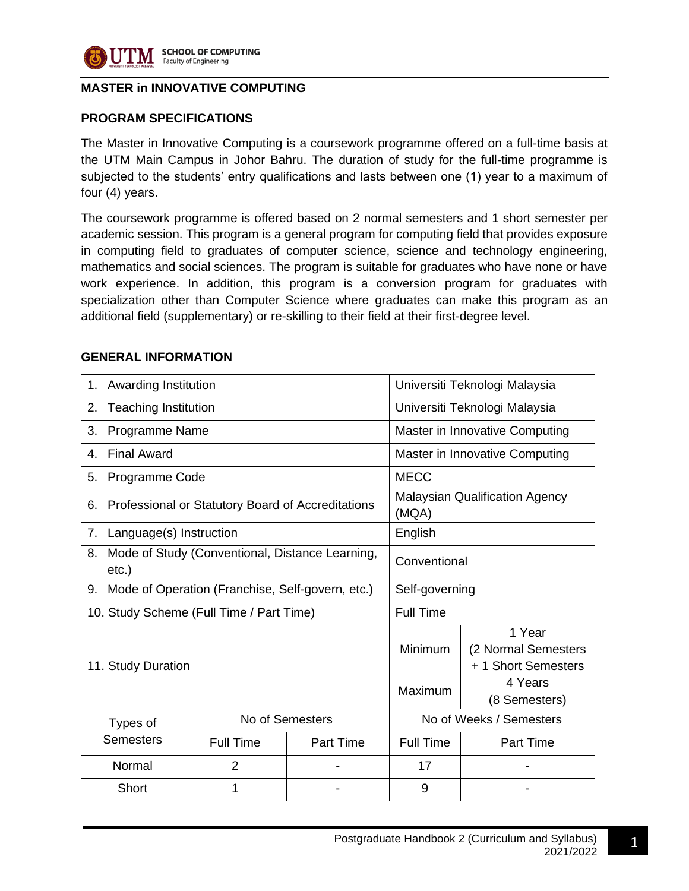

#### **SCHOOL OF COMPUTING** Faculty of Engineering

## **MASTER in INNOVATIVE COMPUTING**

## **PROGRAM SPECIFICATIONS**

The Master in Innovative Computing is a coursework programme offered on a full-time basis at the UTM Main Campus in Johor Bahru. The duration of study for the full-time programme is subjected to the students' entry qualifications and lasts between one (1) year to a maximum of four (4) years.

The coursework programme is offered based on 2 normal semesters and 1 short semester per academic session. This program is a general program for computing field that provides exposure in computing field to graduates of computer science, science and technology engineering, mathematics and social sciences. The program is suitable for graduates who have none or have work experience. In addition, this program is a conversion program for graduates with specialization other than Computer Science where graduates can make this program as an additional field (supplementary) or re-skilling to their field at their first-degree level.

#### **GENERAL INFORMATION**

| Awarding Institution<br>1.                                        |                                                              |                                                | Universiti Teknologi Malaysia                        |                          |  |
|-------------------------------------------------------------------|--------------------------------------------------------------|------------------------------------------------|------------------------------------------------------|--------------------------|--|
| 2.                                                                | <b>Teaching Institution</b><br>Universiti Teknologi Malaysia |                                                |                                                      |                          |  |
| Programme Name<br>3.                                              |                                                              |                                                | Master in Innovative Computing                       |                          |  |
| <b>Final Award</b><br>4.                                          |                                                              |                                                | Master in Innovative Computing                       |                          |  |
| Programme Code<br>5.                                              |                                                              |                                                | <b>MECC</b>                                          |                          |  |
| Professional or Statutory Board of Accreditations<br>6.           |                                                              | <b>Malaysian Qualification Agency</b><br>(MQA) |                                                      |                          |  |
| Language(s) Instruction<br>7.                                     |                                                              | English                                        |                                                      |                          |  |
| Mode of Study (Conventional, Distance Learning,<br>8.<br>$etc.$ ) |                                                              | Conventional                                   |                                                      |                          |  |
| Mode of Operation (Franchise, Self-govern, etc.)<br>9.            |                                                              | Self-governing                                 |                                                      |                          |  |
| 10. Study Scheme (Full Time / Part Time)                          |                                                              | <b>Full Time</b>                               |                                                      |                          |  |
| 11. Study Duration                                                |                                                              | Minimum                                        | 1 Year<br>(2 Normal Semesters<br>+ 1 Short Semesters |                          |  |
|                                                                   |                                                              |                                                | Maximum                                              | 4 Years<br>(8 Semesters) |  |
| Types of                                                          | No of Semesters                                              |                                                | No of Weeks / Semesters                              |                          |  |
| <b>Semesters</b>                                                  | <b>Full Time</b>                                             | <b>Part Time</b>                               | <b>Full Time</b>                                     | <b>Part Time</b>         |  |
| Normal                                                            | $\overline{2}$                                               |                                                | 17                                                   |                          |  |
| Short                                                             | 1                                                            |                                                | 9                                                    |                          |  |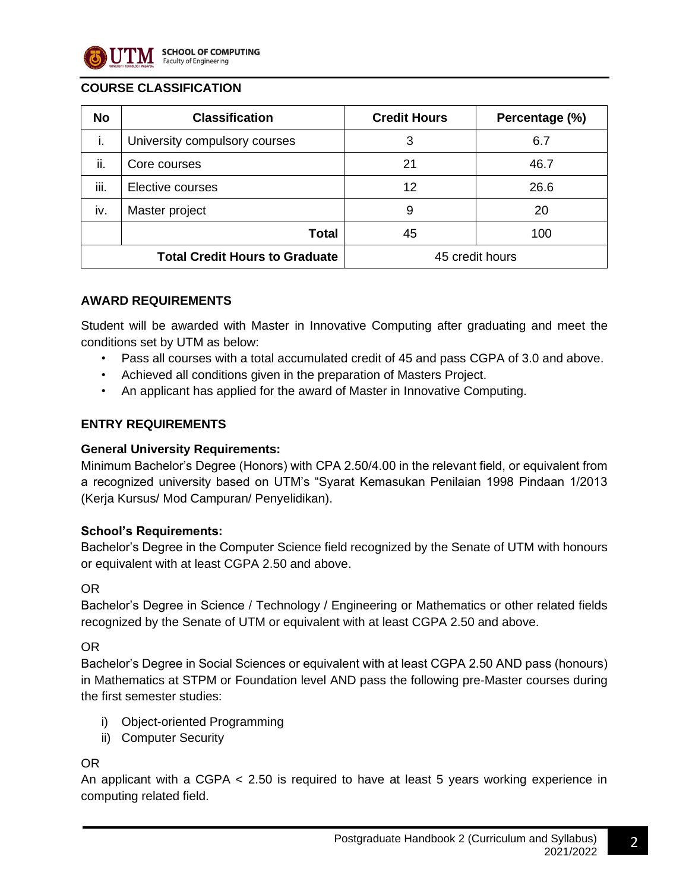

## **COURSE CLASSIFICATION**

| <b>No</b>                             | <b>Classification</b>         | <b>Credit Hours</b> | Percentage (%) |
|---------------------------------------|-------------------------------|---------------------|----------------|
| i.                                    | University compulsory courses | 3                   | 6.7            |
| ii.                                   | Core courses                  | 21                  | 46.7           |
| iii.                                  | Elective courses              | 12                  | 26.6           |
| iv.                                   | Master project                | 9                   | 20             |
|                                       | Total                         | 45                  | 100            |
| <b>Total Credit Hours to Graduate</b> |                               | 45 credit hours     |                |

## **AWARD REQUIREMENTS**

Student will be awarded with Master in Innovative Computing after graduating and meet the conditions set by UTM as below:

- Pass all courses with a total accumulated credit of 45 and pass CGPA of 3.0 and above.
- Achieved all conditions given in the preparation of Masters Project.
- An applicant has applied for the award of Master in Innovative Computing.

## **ENTRY REQUIREMENTS**

#### **General University Requirements:**

Minimum Bachelor's Degree (Honors) with CPA 2.50/4.00 in the relevant field, or equivalent from a recognized university based on UTM's "Syarat Kemasukan Penilaian 1998 Pindaan 1/2013 (Kerja Kursus/ Mod Campuran/ Penyelidikan).

#### **School's Requirements:**

Bachelor's Degree in the Computer Science field recognized by the Senate of UTM with honours or equivalent with at least CGPA 2.50 and above.

#### OR

Bachelor's Degree in Science / Technology / Engineering or Mathematics or other related fields recognized by the Senate of UTM or equivalent with at least CGPA 2.50 and above.

#### OR

Bachelor's Degree in Social Sciences or equivalent with at least CGPA 2.50 AND pass (honours) in Mathematics at STPM or Foundation level AND pass the following pre-Master courses during the first semester studies:

- i) Object-oriented Programming
- ii) Computer Security

#### OR

An applicant with a CGPA < 2.50 is required to have at least 5 years working experience in computing related field.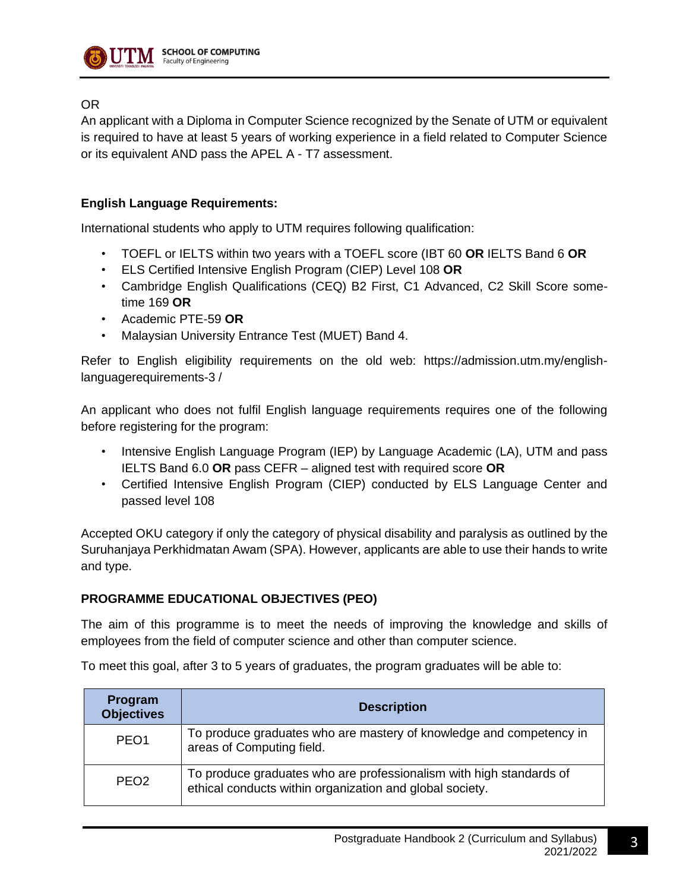

## OR

An applicant with a Diploma in Computer Science recognized by the Senate of UTM or equivalent is required to have at least 5 years of working experience in a field related to Computer Science or its equivalent AND pass the APEL A - T7 assessment.

## **English Language Requirements:**

International students who apply to UTM requires following qualification:

- TOEFL or IELTS within two years with a TOEFL score (IBT 60 **OR** IELTS Band 6 **OR**
- ELS Certified Intensive English Program (CIEP) Level 108 **OR**
- Cambridge English Qualifications (CEQ) B2 First, C1 Advanced, C2 Skill Score sometime 169 **OR**
- Academic PTE-59 **OR**
- Malaysian University Entrance Test (MUET) Band 4.

Refer to English eligibility requirements on the old web: https://admission.utm.my/englishlanguagerequirements-3 /

An applicant who does not fulfil English language requirements requires one of the following before registering for the program:

- Intensive English Language Program (IEP) by Language Academic (LA), UTM and pass IELTS Band 6.0 **OR** pass CEFR – aligned test with required score **OR**
- Certified Intensive English Program (CIEP) conducted by ELS Language Center and passed level 108

Accepted OKU category if only the category of physical disability and paralysis as outlined by the Suruhanjaya Perkhidmatan Awam (SPA). However, applicants are able to use their hands to write and type.

#### **PROGRAMME EDUCATIONAL OBJECTIVES (PEO)**

The aim of this programme is to meet the needs of improving the knowledge and skills of employees from the field of computer science and other than computer science.

To meet this goal, after 3 to 5 years of graduates, the program graduates will be able to:

| Program<br><b>Objectives</b> | <b>Description</b>                                                                                                              |
|------------------------------|---------------------------------------------------------------------------------------------------------------------------------|
| PEO <sub>1</sub>             | To produce graduates who are mastery of knowledge and competency in<br>areas of Computing field.                                |
| PEO <sub>2</sub>             | To produce graduates who are professionalism with high standards of<br>ethical conducts within organization and global society. |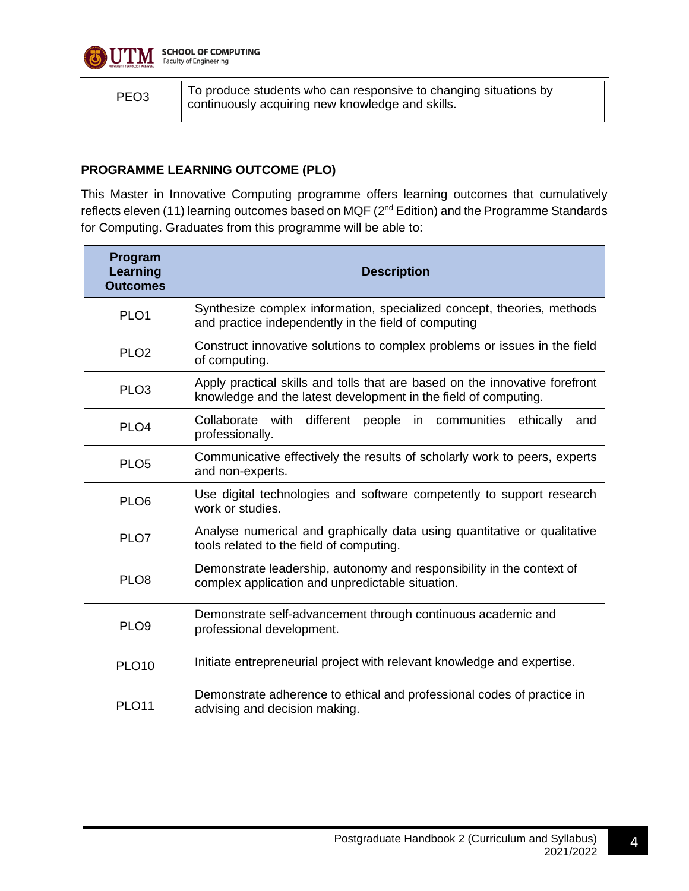

| To produce students who can responsive to changing situations by<br>PEO <sub>3</sub><br>continuously acquiring new knowledge and skills. |  |
|------------------------------------------------------------------------------------------------------------------------------------------|--|
|------------------------------------------------------------------------------------------------------------------------------------------|--|

## **PROGRAMME LEARNING OUTCOME (PLO)**

This Master in Innovative Computing programme offers learning outcomes that cumulatively reflects eleven (11) learning outcomes based on MQF (2<sup>nd</sup> Edition) and the Programme Standards for Computing. Graduates from this programme will be able to:

| Program<br>Learning<br><b>Outcomes</b> | <b>Description</b>                                                                                                                             |
|----------------------------------------|------------------------------------------------------------------------------------------------------------------------------------------------|
| PLO <sub>1</sub>                       | Synthesize complex information, specialized concept, theories, methods<br>and practice independently in the field of computing                 |
| PLO <sub>2</sub>                       | Construct innovative solutions to complex problems or issues in the field<br>of computing.                                                     |
| PLO <sub>3</sub>                       | Apply practical skills and tolls that are based on the innovative forefront<br>knowledge and the latest development in the field of computing. |
| PLO <sub>4</sub>                       | Collaborate with different<br>people<br>in communities<br>ethically<br>and<br>professionally.                                                  |
| PLO <sub>5</sub>                       | Communicative effectively the results of scholarly work to peers, experts<br>and non-experts.                                                  |
| PLO <sub>6</sub>                       | Use digital technologies and software competently to support research<br>work or studies.                                                      |
| PLO7                                   | Analyse numerical and graphically data using quantitative or qualitative<br>tools related to the field of computing.                           |
| PLO <sub>8</sub>                       | Demonstrate leadership, autonomy and responsibility in the context of<br>complex application and unpredictable situation.                      |
| PLO <sub>9</sub>                       | Demonstrate self-advancement through continuous academic and<br>professional development.                                                      |
| <b>PLO10</b>                           | Initiate entrepreneurial project with relevant knowledge and expertise.                                                                        |
| <b>PLO11</b>                           | Demonstrate adherence to ethical and professional codes of practice in<br>advising and decision making.                                        |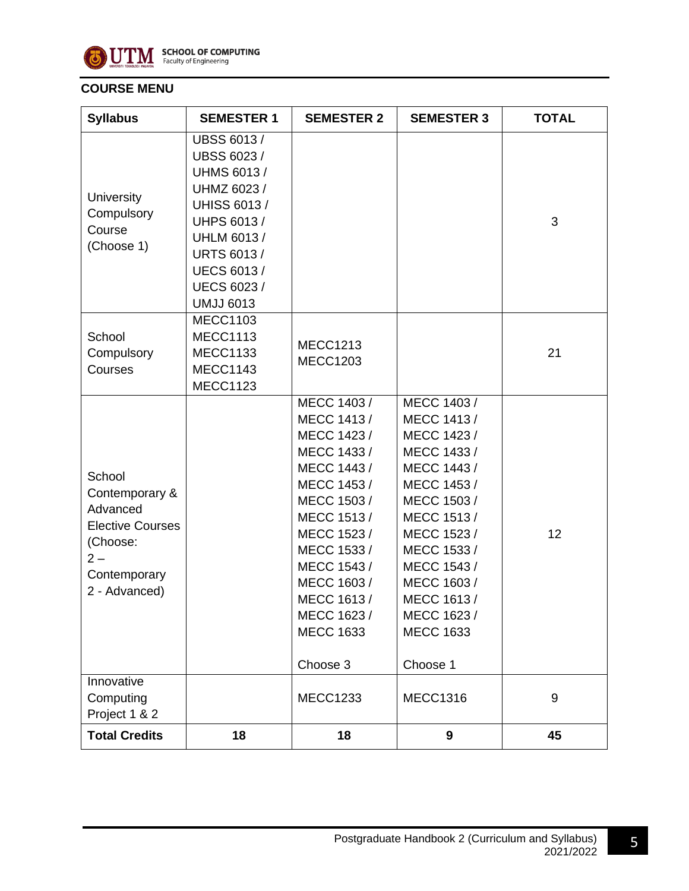

## **COURSE MENU**

| <b>Syllabus</b>                                                                                                      | <b>SEMESTER 1</b>                                                                                                                                                                                                                 | <b>SEMESTER 2</b>                                                                                                                                                                                                                              | <b>SEMESTER 3</b>                                                                                                                                                                                                                            | <b>TOTAL</b> |
|----------------------------------------------------------------------------------------------------------------------|-----------------------------------------------------------------------------------------------------------------------------------------------------------------------------------------------------------------------------------|------------------------------------------------------------------------------------------------------------------------------------------------------------------------------------------------------------------------------------------------|----------------------------------------------------------------------------------------------------------------------------------------------------------------------------------------------------------------------------------------------|--------------|
| University<br>Compulsory<br>Course<br>(Choose 1)                                                                     | <b>UBSS 6013/</b><br><b>UBSS 6023 /</b><br><b>UHMS 6013/</b><br>UHMZ 6023 /<br><b>UHISS 6013 /</b><br><b>UHPS 6013/</b><br><b>UHLM 6013/</b><br><b>URTS 6013/</b><br><b>UECS 6013 /</b><br><b>UECS 6023 /</b><br><b>UMJJ 6013</b> |                                                                                                                                                                                                                                                |                                                                                                                                                                                                                                              | 3            |
| School<br>Compulsory<br>Courses                                                                                      | <b>MECC1103</b><br><b>MECC1113</b><br><b>MECC1133</b><br><b>MECC1143</b><br><b>MECC1123</b>                                                                                                                                       | <b>MECC1213</b><br><b>MECC1203</b>                                                                                                                                                                                                             |                                                                                                                                                                                                                                              | 21           |
| School<br>Contemporary &<br>Advanced<br><b>Elective Courses</b><br>(Choose:<br>$2-$<br>Contemporary<br>2 - Advanced) |                                                                                                                                                                                                                                   | MECC 1403 /<br>MECC 1413 /<br>MECC 1423 /<br>MECC 1433 /<br>MECC 1443 /<br>MECC 1453 /<br>MECC 1503 /<br>MECC 1513 /<br>MECC 1523 /<br>MECC 1533 /<br>MECC 1543 /<br>MECC 1603 /<br>MECC 1613 /<br>MECC 1623 /<br><b>MECC 1633</b><br>Choose 3 | MECC 1403 /<br>MECC 1413 /<br>MECC 1423 /<br>MECC 1433 /<br>MECC 1443 /<br>MECC 1453 /<br>MECC 1503 /<br>MECC 1513/<br>MECC 1523 /<br>MECC 1533 /<br>MECC 1543 /<br>MECC 1603 /<br>MECC 1613/<br>MECC 1623 /<br><b>MECC 1633</b><br>Choose 1 | 12           |
| Innovative<br>Computing<br>Project 1 & 2                                                                             |                                                                                                                                                                                                                                   | <b>MECC1233</b>                                                                                                                                                                                                                                | <b>MECC1316</b>                                                                                                                                                                                                                              | 9            |
| <b>Total Credits</b>                                                                                                 | 18                                                                                                                                                                                                                                | 18                                                                                                                                                                                                                                             | 9                                                                                                                                                                                                                                            | 45           |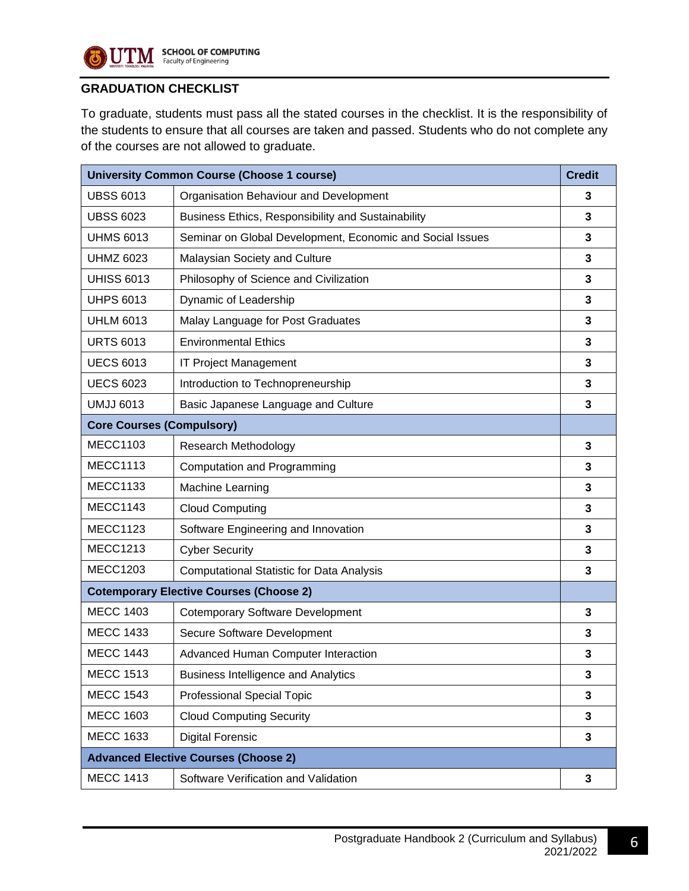

## **GRADUATION CHECKLIST**

To graduate, students must pass all the stated courses in the checklist. It is the responsibility of the students to ensure that all courses are taken and passed. Students who do not complete any of the courses are not allowed to graduate.

|                                             | <b>University Common Course (Choose 1 course)</b>         | <b>Credit</b> |  |
|---------------------------------------------|-----------------------------------------------------------|---------------|--|
| <b>UBSS 6013</b>                            | Organisation Behaviour and Development                    | 3             |  |
| <b>UBSS 6023</b>                            | Business Ethics, Responsibility and Sustainability        | 3             |  |
| <b>UHMS 6013</b>                            | Seminar on Global Development, Economic and Social Issues | 3             |  |
| <b>UHMZ 6023</b>                            | Malaysian Society and Culture                             | 3             |  |
| <b>UHISS 6013</b>                           | Philosophy of Science and Civilization                    | 3             |  |
| <b>UHPS 6013</b>                            | Dynamic of Leadership                                     | 3             |  |
| <b>UHLM 6013</b>                            | Malay Language for Post Graduates                         | 3             |  |
| <b>URTS 6013</b>                            | <b>Environmental Ethics</b>                               | 3             |  |
| <b>UECS 6013</b>                            | <b>IT Project Management</b>                              | 3             |  |
| <b>UECS 6023</b>                            | Introduction to Technopreneurship                         | 3             |  |
| <b>UMJJ 6013</b>                            | Basic Japanese Language and Culture                       | 3             |  |
| <b>Core Courses (Compulsory)</b>            |                                                           |               |  |
| <b>MECC1103</b>                             | Research Methodology                                      | 3             |  |
| <b>MECC1113</b>                             | <b>Computation and Programming</b>                        | 3             |  |
| <b>MECC1133</b>                             | Machine Learning                                          | 3             |  |
| <b>MECC1143</b>                             | <b>Cloud Computing</b>                                    | 3             |  |
| <b>MECC1123</b>                             | Software Engineering and Innovation                       | 3             |  |
| <b>MECC1213</b>                             | <b>Cyber Security</b>                                     | 3             |  |
| <b>MECC1203</b>                             | <b>Computational Statistic for Data Analysis</b>          | 3             |  |
|                                             | <b>Cotemporary Elective Courses (Choose 2)</b>            |               |  |
| <b>MECC 1403</b>                            | <b>Cotemporary Software Development</b>                   | 3             |  |
| <b>MECC 1433</b>                            | Secure Software Development                               | 3             |  |
| <b>MECC 1443</b>                            | Advanced Human Computer Interaction                       | 3             |  |
| <b>MECC 1513</b>                            | <b>Business Intelligence and Analytics</b>                | 3             |  |
| <b>MECC 1543</b>                            | <b>Professional Special Topic</b>                         | 3             |  |
| <b>MECC 1603</b>                            | <b>Cloud Computing Security</b>                           | 3             |  |
| <b>MECC 1633</b>                            | <b>Digital Forensic</b>                                   | 3             |  |
| <b>Advanced Elective Courses (Choose 2)</b> |                                                           |               |  |
| <b>MECC 1413</b>                            | Software Verification and Validation                      | 3             |  |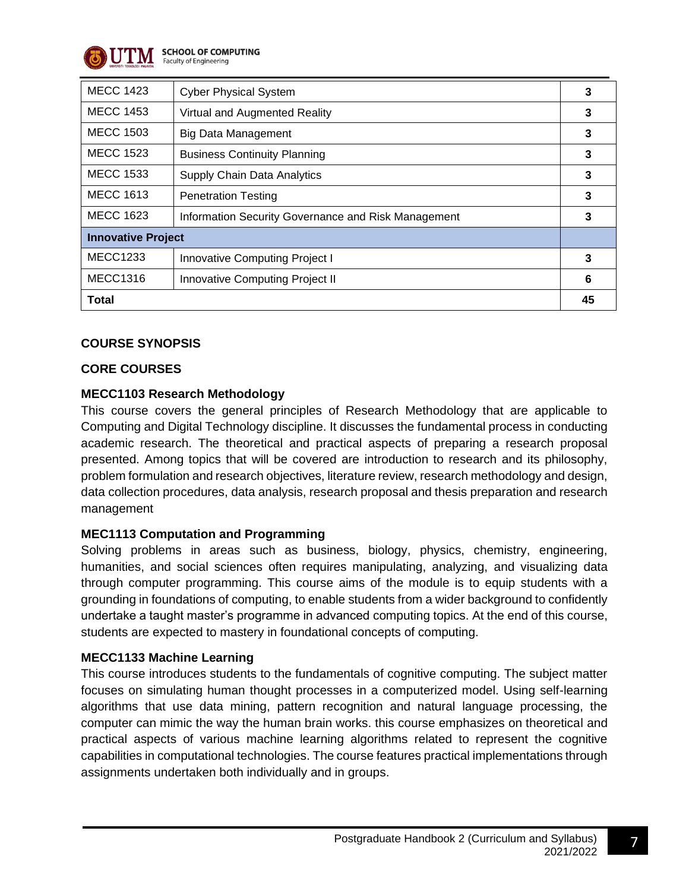

**SCHOOL OF COMPUTING**<br>Faculty of Engineering

| <b>MECC 1423</b>          | <b>Cyber Physical System</b>                        |    |
|---------------------------|-----------------------------------------------------|----|
| <b>MECC 1453</b>          | Virtual and Augmented Reality                       | 3  |
| <b>MECC 1503</b>          | <b>Big Data Management</b>                          | 3  |
| <b>MECC 1523</b>          | <b>Business Continuity Planning</b>                 | 3  |
| <b>MECC 1533</b>          | Supply Chain Data Analytics                         | 3  |
| <b>MECC 1613</b>          | <b>Penetration Testing</b>                          | 3  |
| <b>MECC 1623</b>          | Information Security Governance and Risk Management |    |
| <b>Innovative Project</b> |                                                     |    |
| <b>MECC1233</b>           | Innovative Computing Project I                      | 3  |
| <b>MECC1316</b>           | Innovative Computing Project II                     | 6  |
| <b>Total</b>              |                                                     | 45 |

## **COURSE SYNOPSIS**

## **CORE COURSES**

## **MECC1103 Research Methodology**

This course covers the general principles of Research Methodology that are applicable to Computing and Digital Technology discipline. It discusses the fundamental process in conducting academic research. The theoretical and practical aspects of preparing a research proposal presented. Among topics that will be covered are introduction to research and its philosophy, problem formulation and research objectives, literature review, research methodology and design, data collection procedures, data analysis, research proposal and thesis preparation and research management

## **MEC1113 Computation and Programming**

Solving problems in areas such as business, biology, physics, chemistry, engineering, humanities, and social sciences often requires manipulating, analyzing, and visualizing data through computer programming. This course aims of the module is to equip students with a grounding in foundations of computing, to enable students from a wider background to confidently undertake a taught master's programme in advanced computing topics. At the end of this course, students are expected to mastery in foundational concepts of computing.

#### **MECC1133 Machine Learning**

This course introduces students to the fundamentals of cognitive computing. The subject matter focuses on simulating human thought processes in a computerized model. Using self-learning algorithms that use data mining, pattern recognition and natural language processing, the computer can mimic the way the human brain works. this course emphasizes on theoretical and practical aspects of various machine learning algorithms related to represent the cognitive capabilities in computational technologies. The course features practical implementations through assignments undertaken both individually and in groups.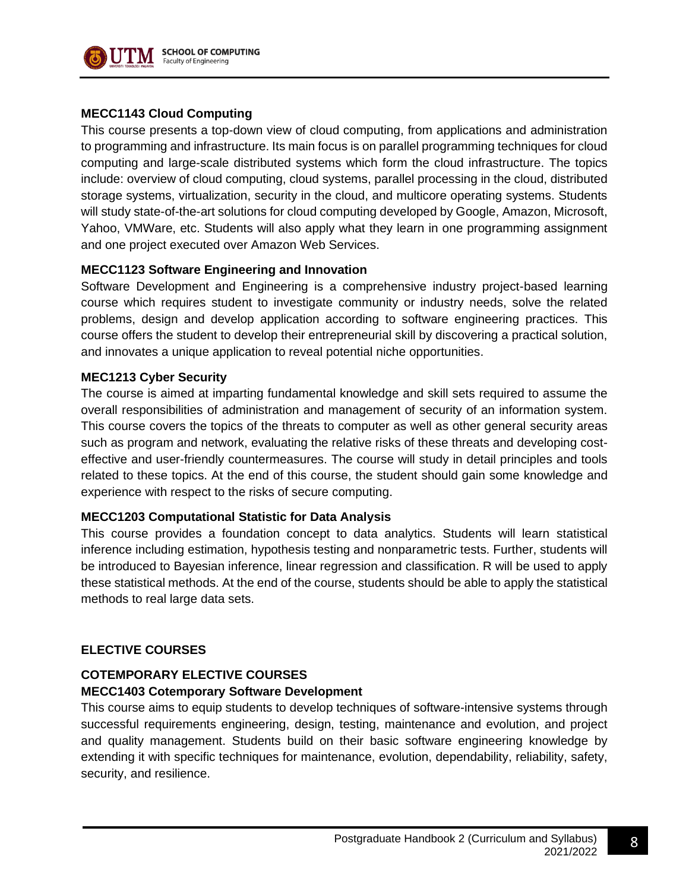

#### **MECC1143 Cloud Computing**

This course presents a top-down view of cloud computing, from applications and administration to programming and infrastructure. Its main focus is on parallel programming techniques for cloud computing and large-scale distributed systems which form the cloud infrastructure. The topics include: overview of cloud computing, cloud systems, parallel processing in the cloud, distributed storage systems, virtualization, security in the cloud, and multicore operating systems. Students will study state-of-the-art solutions for cloud computing developed by Google, Amazon, Microsoft, Yahoo, VMWare, etc. Students will also apply what they learn in one programming assignment and one project executed over Amazon Web Services.

## **MECC1123 Software Engineering and Innovation**

Software Development and Engineering is a comprehensive industry project-based learning course which requires student to investigate community or industry needs, solve the related problems, design and develop application according to software engineering practices. This course offers the student to develop their entrepreneurial skill by discovering a practical solution, and innovates a unique application to reveal potential niche opportunities.

#### **MEC1213 Cyber Security**

The course is aimed at imparting fundamental knowledge and skill sets required to assume the overall responsibilities of administration and management of security of an information system. This course covers the topics of the threats to computer as well as other general security areas such as program and network, evaluating the relative risks of these threats and developing costeffective and user-friendly countermeasures. The course will study in detail principles and tools related to these topics. At the end of this course, the student should gain some knowledge and experience with respect to the risks of secure computing.

#### **MECC1203 Computational Statistic for Data Analysis**

This course provides a foundation concept to data analytics. Students will learn statistical inference including estimation, hypothesis testing and nonparametric tests. Further, students will be introduced to Bayesian inference, linear regression and classification. R will be used to apply these statistical methods. At the end of the course, students should be able to apply the statistical methods to real large data sets.

#### **ELECTIVE COURSES**

## **COTEMPORARY ELECTIVE COURSES**

#### **MECC1403 Cotemporary Software Development**

This course aims to equip students to develop techniques of software-intensive systems through successful requirements engineering, design, testing, maintenance and evolution, and project and quality management. Students build on their basic software engineering knowledge by extending it with specific techniques for maintenance, evolution, dependability, reliability, safety, security, and resilience.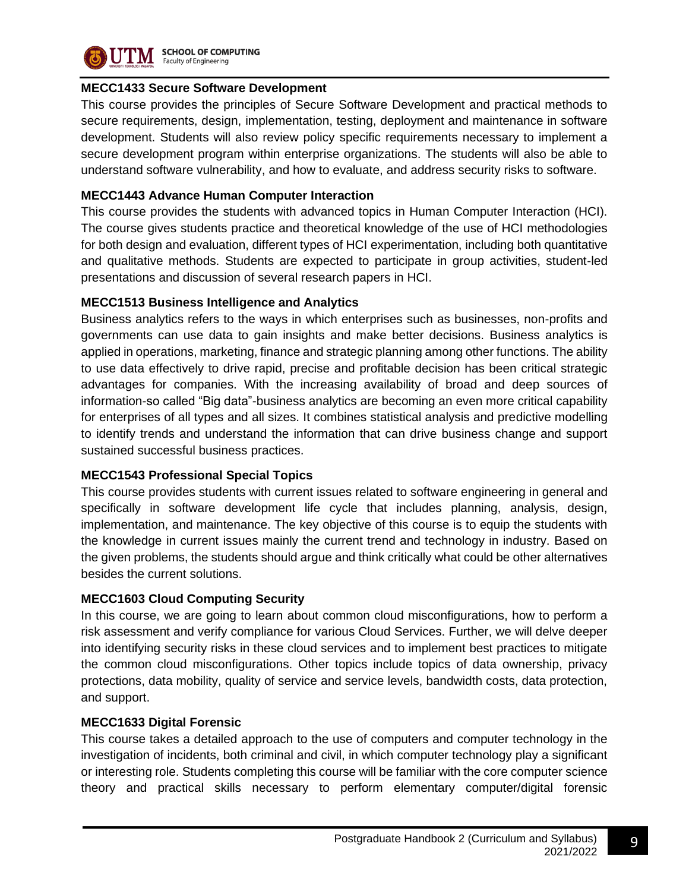

# **MECC1433 Secure Software Development**

This course provides the principles of Secure Software Development and practical methods to secure requirements, design, implementation, testing, deployment and maintenance in software development. Students will also review policy specific requirements necessary to implement a secure development program within enterprise organizations. The students will also be able to understand software vulnerability, and how to evaluate, and address security risks to software.

## **MECC1443 Advance Human Computer Interaction**

This course provides the students with advanced topics in Human Computer Interaction (HCI). The course gives students practice and theoretical knowledge of the use of HCI methodologies for both design and evaluation, different types of HCI experimentation, including both quantitative and qualitative methods. Students are expected to participate in group activities, student-led presentations and discussion of several research papers in HCI.

## **MECC1513 Business Intelligence and Analytics**

Business analytics refers to the ways in which enterprises such as businesses, non-profits and governments can use data to gain insights and make better decisions. Business analytics is applied in operations, marketing, finance and strategic planning among other functions. The ability to use data effectively to drive rapid, precise and profitable decision has been critical strategic advantages for companies. With the increasing availability of broad and deep sources of information-so called "Big data"-business analytics are becoming an even more critical capability for enterprises of all types and all sizes. It combines statistical analysis and predictive modelling to identify trends and understand the information that can drive business change and support sustained successful business practices.

## **MECC1543 Professional Special Topics**

This course provides students with current issues related to software engineering in general and specifically in software development life cycle that includes planning, analysis, design, implementation, and maintenance. The key objective of this course is to equip the students with the knowledge in current issues mainly the current trend and technology in industry. Based on the given problems, the students should argue and think critically what could be other alternatives besides the current solutions.

## **MECC1603 Cloud Computing Security**

In this course, we are going to learn about common cloud misconfigurations, how to perform a risk assessment and verify compliance for various Cloud Services. Further, we will delve deeper into identifying security risks in these cloud services and to implement best practices to mitigate the common cloud misconfigurations. Other topics include topics of data ownership, privacy protections, data mobility, quality of service and service levels, bandwidth costs, data protection, and support.

## **MECC1633 Digital Forensic**

This course takes a detailed approach to the use of computers and computer technology in the investigation of incidents, both criminal and civil, in which computer technology play a significant or interesting role. Students completing this course will be familiar with the core computer science theory and practical skills necessary to perform elementary computer/digital forensic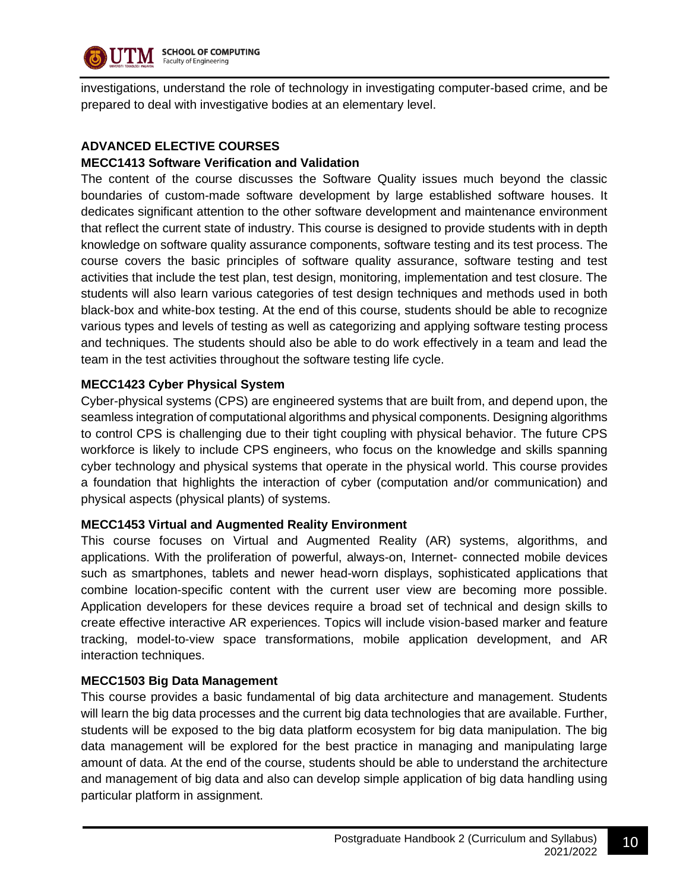

investigations, understand the role of technology in investigating computer-based crime, and be prepared to deal with investigative bodies at an elementary level.

## **ADVANCED ELECTIVE COURSES**

#### **MECC1413 Software Verification and Validation**

The content of the course discusses the Software Quality issues much beyond the classic boundaries of custom-made software development by large established software houses. It dedicates significant attention to the other software development and maintenance environment that reflect the current state of industry. This course is designed to provide students with in depth knowledge on software quality assurance components, software testing and its test process. The course covers the basic principles of software quality assurance, software testing and test activities that include the test plan, test design, monitoring, implementation and test closure. The students will also learn various categories of test design techniques and methods used in both black-box and white-box testing. At the end of this course, students should be able to recognize various types and levels of testing as well as categorizing and applying software testing process and techniques. The students should also be able to do work effectively in a team and lead the team in the test activities throughout the software testing life cycle.

#### **MECC1423 Cyber Physical System**

Cyber-physical systems (CPS) are engineered systems that are built from, and depend upon, the seamless integration of computational algorithms and physical components. Designing algorithms to control CPS is challenging due to their tight coupling with physical behavior. The future CPS workforce is likely to include CPS engineers, who focus on the knowledge and skills spanning cyber technology and physical systems that operate in the physical world. This course provides a foundation that highlights the interaction of cyber (computation and/or communication) and physical aspects (physical plants) of systems.

#### **MECC1453 Virtual and Augmented Reality Environment**

This course focuses on Virtual and Augmented Reality (AR) systems, algorithms, and applications. With the proliferation of powerful, always-on, Internet- connected mobile devices such as smartphones, tablets and newer head-worn displays, sophisticated applications that combine location-specific content with the current user view are becoming more possible. Application developers for these devices require a broad set of technical and design skills to create effective interactive AR experiences. Topics will include vision-based marker and feature tracking, model-to-view space transformations, mobile application development, and AR interaction techniques.

#### **MECC1503 Big Data Management**

This course provides a basic fundamental of big data architecture and management. Students will learn the big data processes and the current big data technologies that are available. Further, students will be exposed to the big data platform ecosystem for big data manipulation. The big data management will be explored for the best practice in managing and manipulating large amount of data. At the end of the course, students should be able to understand the architecture and management of big data and also can develop simple application of big data handling using particular platform in assignment.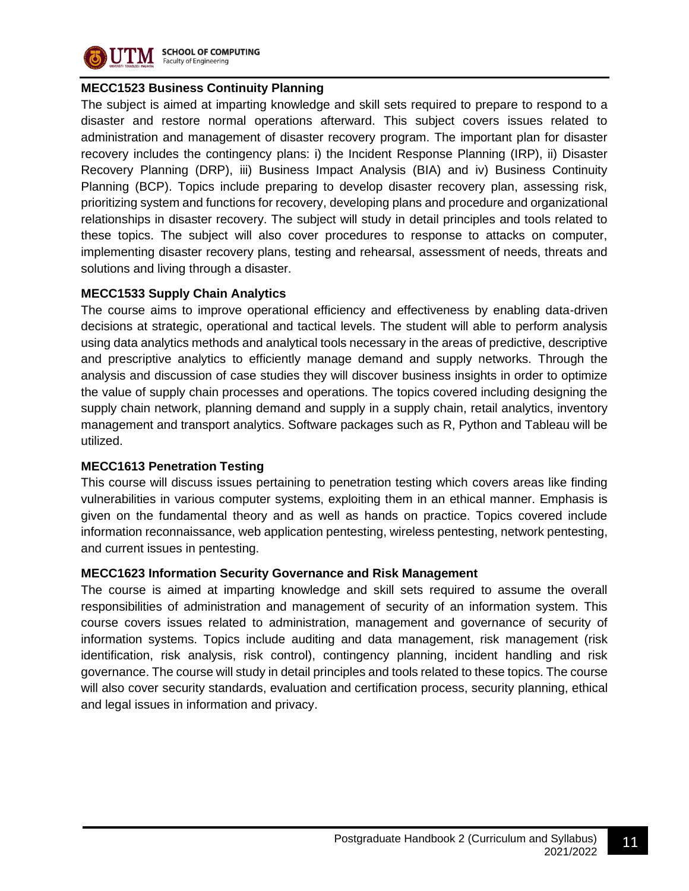

## **MECC1523 Business Continuity Planning**

The subject is aimed at imparting knowledge and skill sets required to prepare to respond to a disaster and restore normal operations afterward. This subject covers issues related to administration and management of disaster recovery program. The important plan for disaster recovery includes the contingency plans: i) the Incident Response Planning (IRP), ii) Disaster Recovery Planning (DRP), iii) Business Impact Analysis (BIA) and iv) Business Continuity Planning (BCP). Topics include preparing to develop disaster recovery plan, assessing risk, prioritizing system and functions for recovery, developing plans and procedure and organizational relationships in disaster recovery. The subject will study in detail principles and tools related to these topics. The subject will also cover procedures to response to attacks on computer, implementing disaster recovery plans, testing and rehearsal, assessment of needs, threats and solutions and living through a disaster.

## **MECC1533 Supply Chain Analytics**

The course aims to improve operational efficiency and effectiveness by enabling data-driven decisions at strategic, operational and tactical levels. The student will able to perform analysis using data analytics methods and analytical tools necessary in the areas of predictive, descriptive and prescriptive analytics to efficiently manage demand and supply networks. Through the analysis and discussion of case studies they will discover business insights in order to optimize the value of supply chain processes and operations. The topics covered including designing the supply chain network, planning demand and supply in a supply chain, retail analytics, inventory management and transport analytics. Software packages such as R, Python and Tableau will be utilized.

#### **MECC1613 Penetration Testing**

This course will discuss issues pertaining to penetration testing which covers areas like finding vulnerabilities in various computer systems, exploiting them in an ethical manner. Emphasis is given on the fundamental theory and as well as hands on practice. Topics covered include information reconnaissance, web application pentesting, wireless pentesting, network pentesting, and current issues in pentesting.

## **MECC1623 Information Security Governance and Risk Management**

The course is aimed at imparting knowledge and skill sets required to assume the overall responsibilities of administration and management of security of an information system. This course covers issues related to administration, management and governance of security of information systems. Topics include auditing and data management, risk management (risk identification, risk analysis, risk control), contingency planning, incident handling and risk governance. The course will study in detail principles and tools related to these topics. The course will also cover security standards, evaluation and certification process, security planning, ethical and legal issues in information and privacy.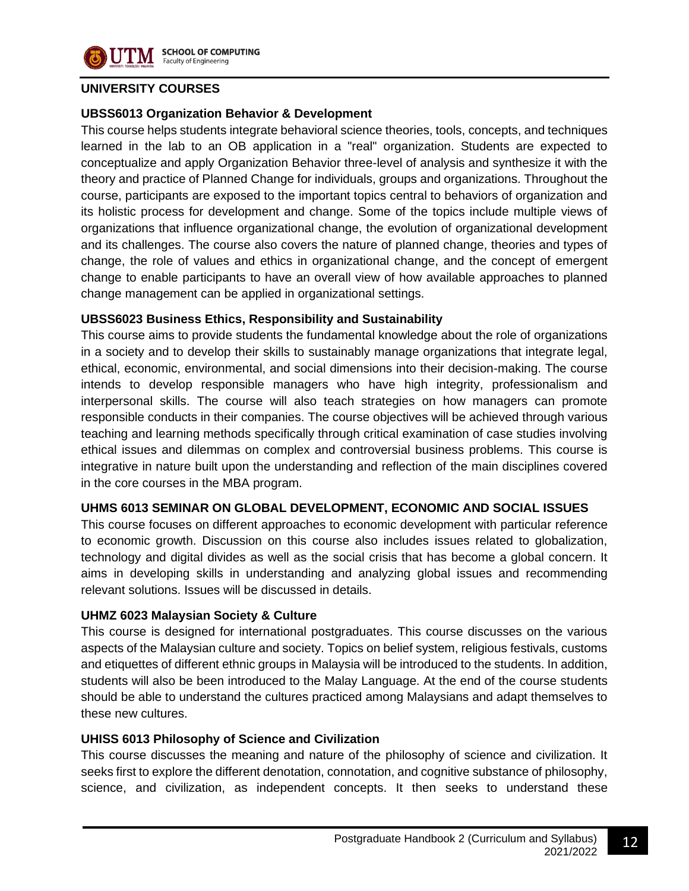

#### **UNIVERSITY COURSES**

#### **UBSS6013 Organization Behavior & Development**

This course helps students integrate behavioral science theories, tools, concepts, and techniques learned in the lab to an OB application in a "real" organization. Students are expected to conceptualize and apply Organization Behavior three-level of analysis and synthesize it with the theory and practice of Planned Change for individuals, groups and organizations. Throughout the course, participants are exposed to the important topics central to behaviors of organization and its holistic process for development and change. Some of the topics include multiple views of organizations that influence organizational change, the evolution of organizational development and its challenges. The course also covers the nature of planned change, theories and types of change, the role of values and ethics in organizational change, and the concept of emergent change to enable participants to have an overall view of how available approaches to planned change management can be applied in organizational settings.

## **UBSS6023 Business Ethics, Responsibility and Sustainability**

This course aims to provide students the fundamental knowledge about the role of organizations in a society and to develop their skills to sustainably manage organizations that integrate legal, ethical, economic, environmental, and social dimensions into their decision-making. The course intends to develop responsible managers who have high integrity, professionalism and interpersonal skills. The course will also teach strategies on how managers can promote responsible conducts in their companies. The course objectives will be achieved through various teaching and learning methods specifically through critical examination of case studies involving ethical issues and dilemmas on complex and controversial business problems. This course is integrative in nature built upon the understanding and reflection of the main disciplines covered in the core courses in the MBA program.

#### **UHMS 6013 SEMINAR ON GLOBAL DEVELOPMENT, ECONOMIC AND SOCIAL ISSUES**

This course focuses on different approaches to economic development with particular reference to economic growth. Discussion on this course also includes issues related to globalization, technology and digital divides as well as the social crisis that has become a global concern. It aims in developing skills in understanding and analyzing global issues and recommending relevant solutions. Issues will be discussed in details.

#### **UHMZ 6023 Malaysian Society & Culture**

This course is designed for international postgraduates. This course discusses on the various aspects of the Malaysian culture and society. Topics on belief system, religious festivals, customs and etiquettes of different ethnic groups in Malaysia will be introduced to the students. In addition, students will also be been introduced to the Malay Language. At the end of the course students should be able to understand the cultures practiced among Malaysians and adapt themselves to these new cultures.

#### **UHISS 6013 Philosophy of Science and Civilization**

This course discusses the meaning and nature of the philosophy of science and civilization. It seeks first to explore the different denotation, connotation, and cognitive substance of philosophy, science, and civilization, as independent concepts. It then seeks to understand these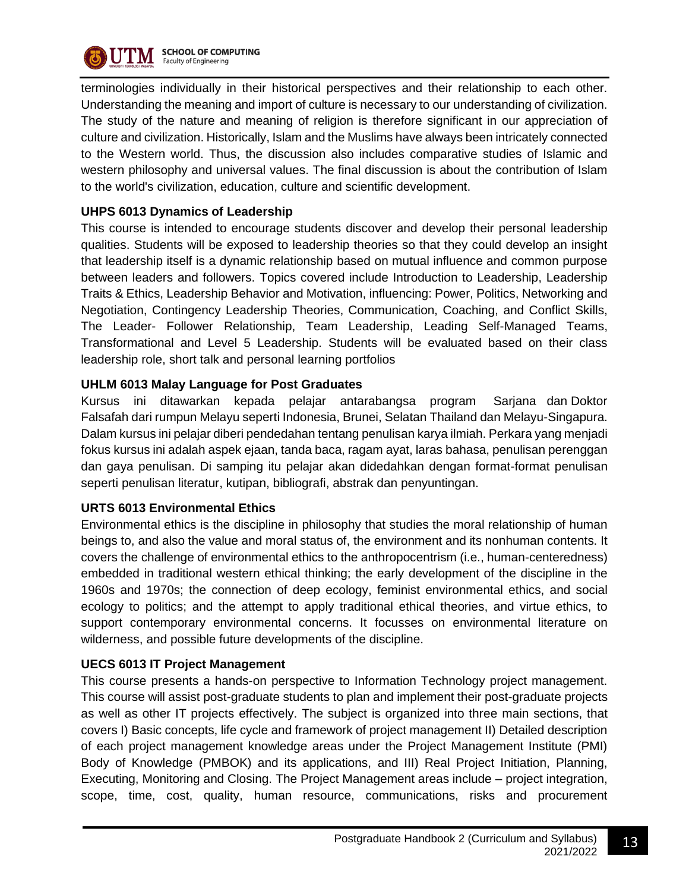

terminologies individually in their historical perspectives and their relationship to each other. Understanding the meaning and import of culture is necessary to our understanding of civilization. The study of the nature and meaning of religion is therefore significant in our appreciation of culture and civilization. Historically, Islam and the Muslims have always been intricately connected to the Western world. Thus, the discussion also includes comparative studies of Islamic and western philosophy and universal values. The final discussion is about the contribution of Islam to the world's civilization, education, culture and scientific development.

## **UHPS 6013 Dynamics of Leadership**

This course is intended to encourage students discover and develop their personal leadership qualities. Students will be exposed to leadership theories so that they could develop an insight that leadership itself is a dynamic relationship based on mutual influence and common purpose between leaders and followers. Topics covered include Introduction to Leadership, Leadership Traits & Ethics, Leadership Behavior and Motivation, influencing: Power, Politics, Networking and Negotiation, Contingency Leadership Theories, Communication, Coaching, and Conflict Skills, The Leader- Follower Relationship, Team Leadership, Leading Self-Managed Teams, Transformational and Level 5 Leadership. Students will be evaluated based on their class leadership role, short talk and personal learning portfolios

## **UHLM 6013 Malay Language for Post Graduates**

Kursus ini ditawarkan kepada pelajar antarabangsa program Sarjana dan Doktor Falsafah dari rumpun Melayu seperti Indonesia, Brunei, Selatan Thailand dan Melayu-Singapura. Dalam kursus ini pelajar diberi pendedahan tentang penulisan karya ilmiah. Perkara yang menjadi fokus kursus ini adalah aspek ejaan, tanda baca, ragam ayat, laras bahasa, penulisan perenggan dan gaya penulisan. Di samping itu pelajar akan didedahkan dengan format-format penulisan seperti penulisan literatur, kutipan, bibliografi, abstrak dan penyuntingan.

## **URTS 6013 Environmental Ethics**

Environmental ethics is the discipline in philosophy that studies the moral relationship of human beings to, and also the value and moral status of, the environment and its nonhuman contents. It covers the challenge of environmental ethics to the anthropocentrism (i.e., human-centeredness) embedded in traditional western ethical thinking; the early development of the discipline in the 1960s and 1970s; the connection of deep ecology, feminist environmental ethics, and social ecology to politics; and the attempt to apply traditional ethical theories, and virtue ethics, to support contemporary environmental concerns. It focusses on environmental literature on wilderness, and possible future developments of the discipline.

#### **UECS 6013 IT Project Management**

This course presents a hands-on perspective to Information Technology project management. This course will assist post-graduate students to plan and implement their post-graduate projects as well as other IT projects effectively. The subject is organized into three main sections, that covers I) Basic concepts, life cycle and framework of project management II) Detailed description of each project management knowledge areas under the Project Management Institute (PMI) Body of Knowledge (PMBOK) and its applications, and III) Real Project Initiation, Planning, Executing, Monitoring and Closing. The Project Management areas include – project integration, scope, time, cost, quality, human resource, communications, risks and procurement